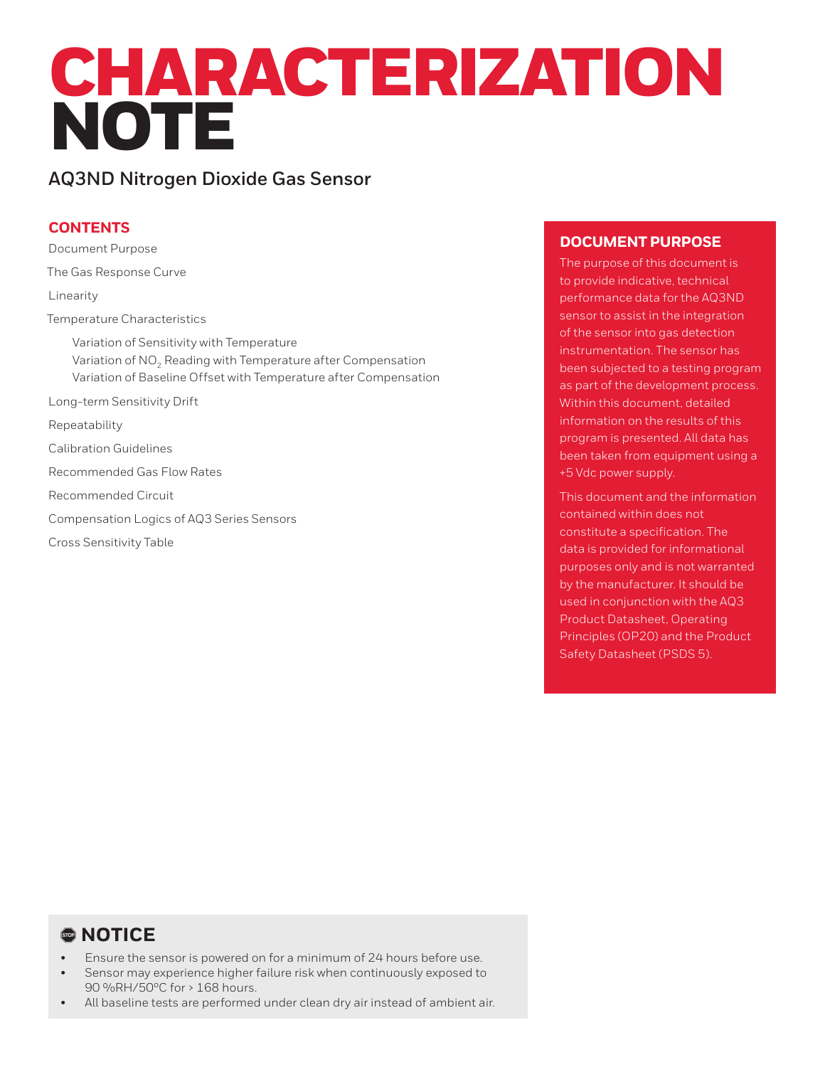# CHARACTERIZATION **NOTE**

## **AQ3ND Nitrogen Dioxide Gas Sensor**

### **CONTENTS**

Document Purpose The Gas Response Curve Linearity Temperature Characteristics Variation of Sensitivity with Temperature Variation of  $NO<sub>2</sub>$  Reading with Temperature after Compensation Variation of Baseline Offset with Temperature after Compensation Long-term Sensitivity Drift Repeatability Calibration Guidelines Recommended Gas Flow Rates Recommended Circuit Compensation Logics of AQ3 Series Sensors Cross Sensitivity Table

#### **DOCUMENT PURPOSE**

The purpose of this document is to provide indicative, technical performance data for the AQ3ND sensor to assist in the integration of the sensor into gas detection instrumentation. The sensor has been subjected to a testing program as part of the development process. Within this document, detailed information on the results of this program is presented. All data has been taken from equipment using a +5 Vdc power supply.

This document and the information contained within does not constitute a specification. The data is provided for informational purposes only and is not warranted by the manufacturer. It should be used in conjunction with the AQ3 Product Datasheet, Operating Principles (OP20) and the Product Safety Datasheet (PSDS 5).

## , **NOTICE**

- Ensure the sensor is powered on for a minimum of 24 hours before use.
- Sensor may experience higher failure risk when continuously exposed to 90 %RH/50ºC for > 168 hours.
- All baseline tests are performed under clean dry air instead of ambient air.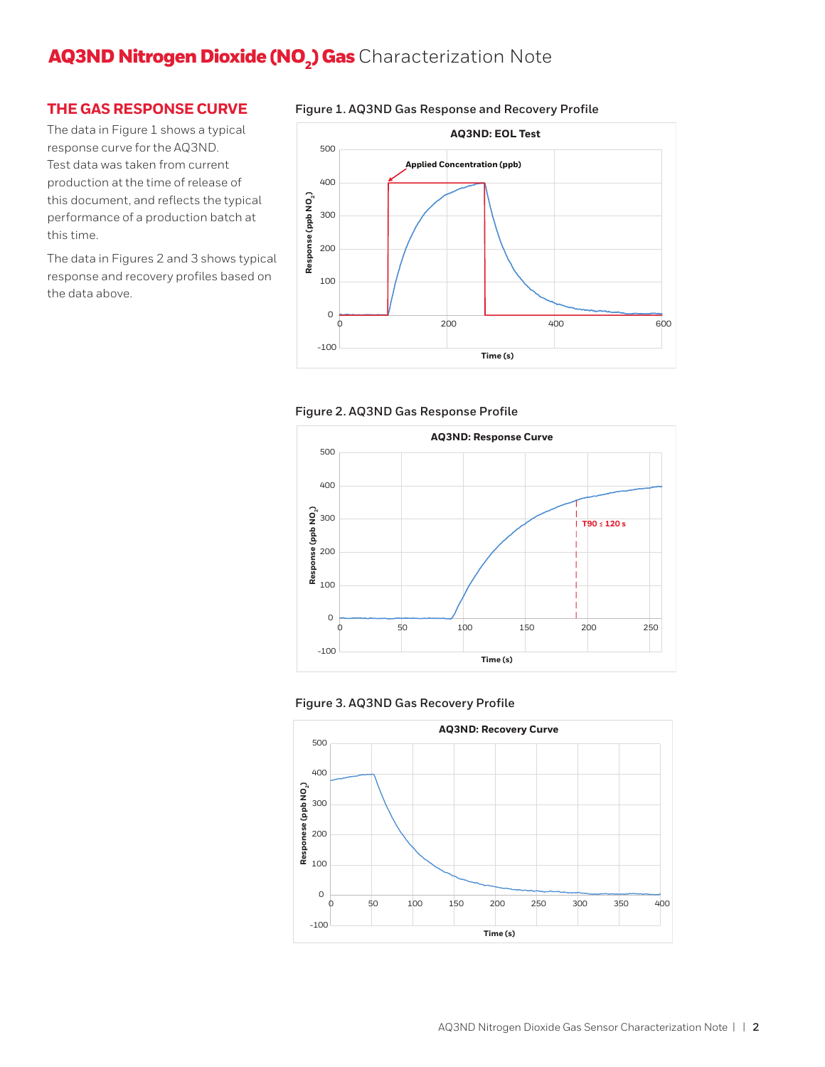#### **THE GAS RESPONSE CURVE**

The data in Figure 1 shows a typical response curve for the AQ3ND. Test data was taken from current production at the time of release of this document, and reflects the typical performance of a production batch at this time.

The data in Figures 2 and 3 shows typical response and recovery profiles based on the data above.











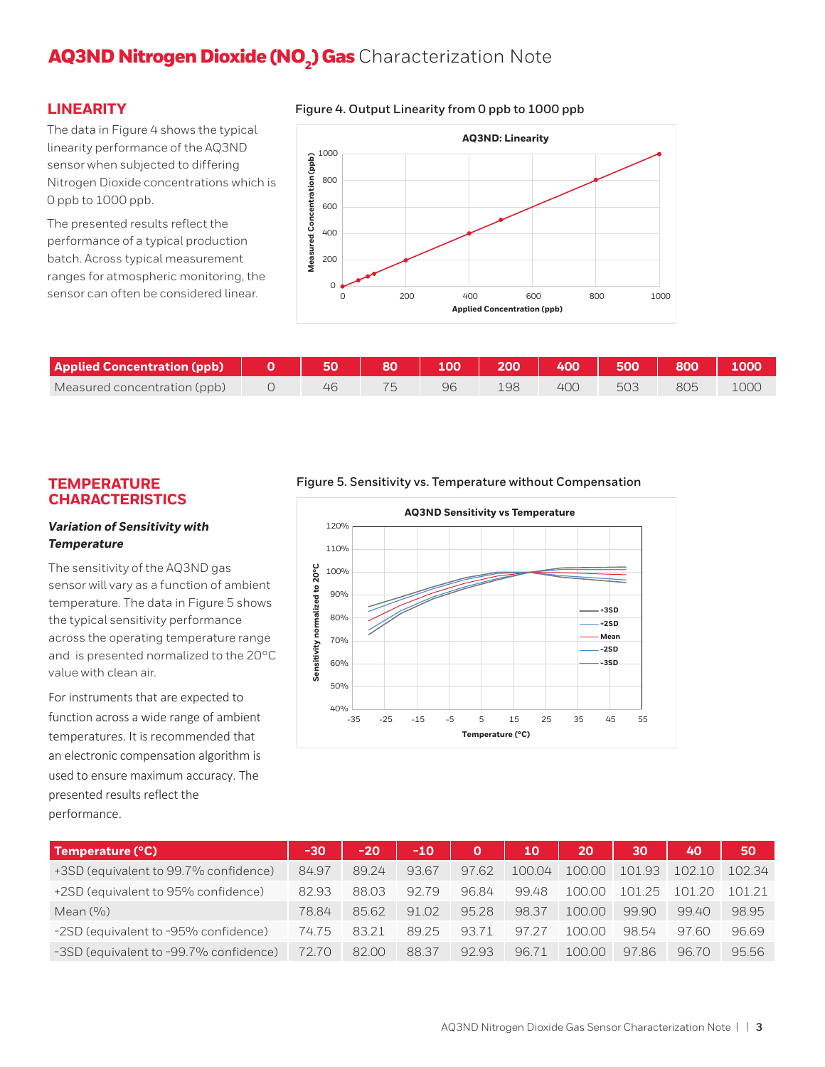#### **LINEARITY**

**Figure 4. Output Linearity from 0 ppb to 1000 ppb** 

The data in Figure 4 shows the typical linearity performance of the AQ3ND sensor when subjected to differing Nitrogen Dioxide concentrations which is 0 ppb to 1000 ppb.

The presented results reflect the performance of a typical production batch. Across typical measurement ranges for atmospheric monitoring, the sensor can often be considered linear.



| <b>Applied Concentration (ppb)</b> | 50 | 80 | 100 | 200 | 400 | 500 | 800 |       |
|------------------------------------|----|----|-----|-----|-----|-----|-----|-------|
| Measured concentration (ppb)       |    |    | 96  | 98ء | 400 | 503 |     | TOOG. |

#### **TEMPERATURE CHARACTERISTICS**

#### *Variation of Sensitivity with Temperature*

The sensitivity of the AQ3ND gas sensor will vary as a function of ambient temperature. The data in Figure 5 shows the typical sensitivity performance across the operating temperature range and is presented normalized to the 20°C value with clean air.

For instruments that are expected to function across a wide range of ambient temperatures. It is recommended that an electronic compensation algorithm is used to ensure maximum accuracy. The presented results reflect the performance.

#### **Figure 5. Sensitivity vs. Temperature without Compensation**



| Temperature (°C)                       | -30   | $-20$ | $-10$ | $\mathbf{O}$ | 10     | 20     | 30                     | 40     | 50     |
|----------------------------------------|-------|-------|-------|--------------|--------|--------|------------------------|--------|--------|
| +3SD (equivalent to 99.7% confidence)  | 84.97 | 89.24 | 93.67 | 97.62        | 100.04 | 100.00 | 101.93                 | 102.10 | 102.34 |
| +2SD (equivalent to 95% confidence)    | 82.93 | 88.03 | 9279  | 96.84        | 99.48  | 100.00 | 1 <sub>01</sub><br>-25 | 10120  | 101 21 |
| Mean $(\% )$                           | 78.84 | 85.62 | 91.02 | 95.28        | 98.37  | 10000  | 99.90                  | 9940   | 98.95  |
| -2SD (equivalent to -95% confidence)   | 74.75 | 83.21 | 89.25 | 93.71        | 97.27  | 10000  | 98.54                  | 9760   | 96.69  |
| -3SD (equivalent to -99.7% confidence) | 72.70 | 82.00 | 88.37 | 92.93        | 9671   | 10000  | 9786                   | 96.70  | 95.56  |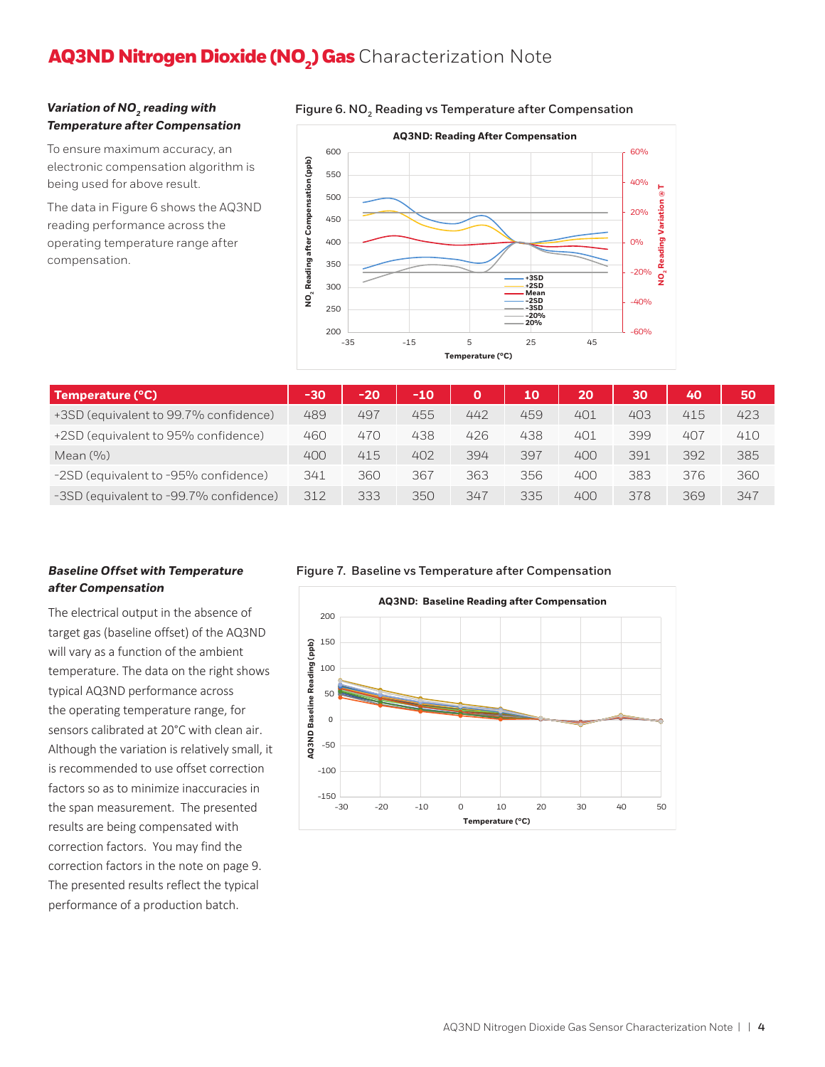#### **Variation of NO<sub>2</sub> reading with** *Temperature after Compensation*

To ensure maximum accuracy, an electronic compensation algorithm is being used for above result.

The data in Figure 6 shows the AQ3ND reading performance across the operating temperature range after compensation.



| Temperature (°C)                       | $-30$ | $-20$ | $-10$ | O   | 10  | 20  | 30  | 40  | 50  |
|----------------------------------------|-------|-------|-------|-----|-----|-----|-----|-----|-----|
| +3SD (equivalent to 99.7% confidence)  | 489   | 497   | 455   | 442 | 459 | 401 | 403 | 415 | 423 |
| +2SD (equivalent to 95% confidence)    | 460   | 470   | 438   | 426 | 438 | 401 | 399 | 407 | 410 |
| Mean $(9/0)$                           | 400   | 415   | 402   | 394 | 397 | 400 | 391 | 392 | 385 |
| -2SD (equivalent to -95% confidence)   | 341   | 360   | 367   | 363 | 356 | 400 | 383 | 376 | 360 |
| -3SD (equivalent to -99.7% confidence) | 312   | 333   | 350   | 347 | 335 | 400 | 378 | 369 | 347 |

#### *Baseline Offset with Temperature after Compensation*

The electrical output in the absence of target gas (baseline offset) of the AQ3ND will vary as a function of the ambient temperature. The data on the right shows typical AQ3ND performance across the operating temperature range, for sensors calibrated at 20°C with clean air. Although the variation is relatively small, it is recommended to use offset correction factors so as to minimize inaccuracies in the span measurement. The presented results are being compensated with correction factors. You may find the correction factors in the note on page 9. The presented results reflect the typical performance of a production batch.

#### **Figure 7. Baseline vs Temperature after Compensation**



#### Figure 6. NO<sub>2</sub> Reading vs Temperature after Compensation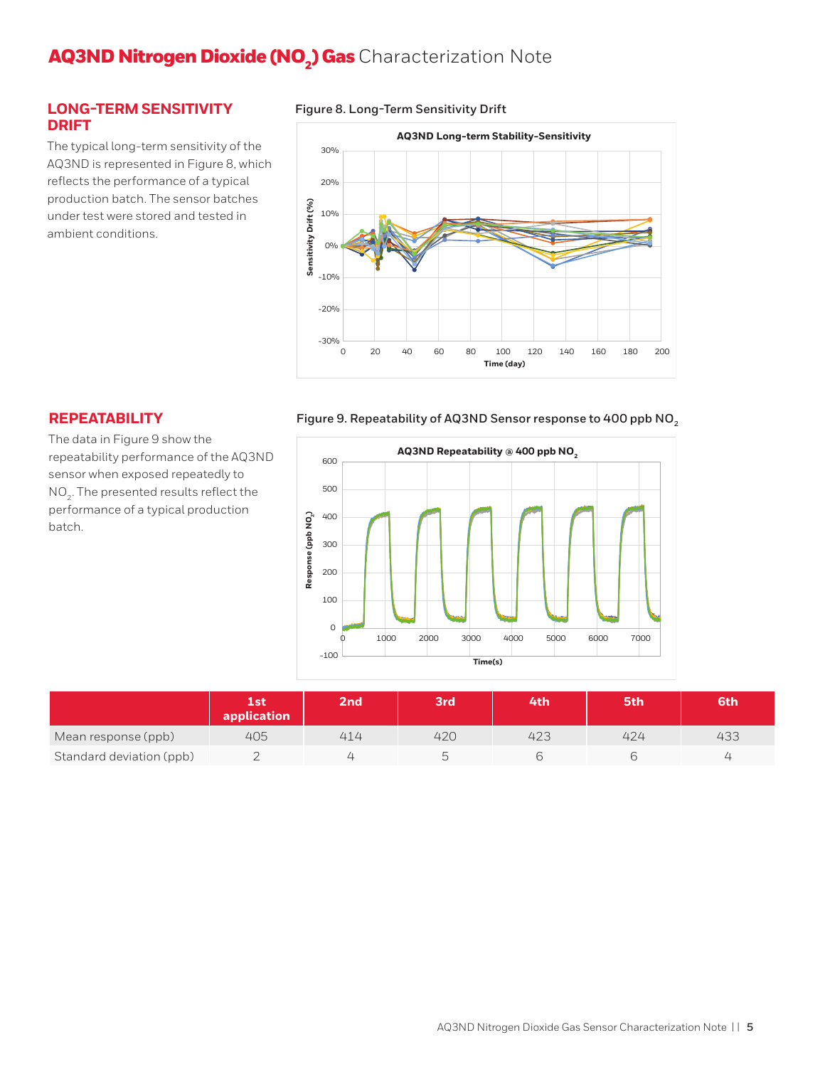#### **LONG-TERM SENSITIVITY DRIFT**

The typical long-term sensitivity of the AQ3ND is represented in Figure 8, which reflects the performance of a typical production batch. The sensor batches under test were stored and tested in ambient conditions.

#### **Figure 8. Long-Term Sensitivity Drift**



#### **REPEATABILITY**

The data in Figure 9 show the repeatability performance of the AQ3ND sensor when exposed repeatedly to NO<sub>2</sub>. The presented results reflect the performance of a typical production batch.

#### **Figure 9. Repeatability of AQ3ND Sensor response to 400 ppb NO2**



|                          | 1st<br>application | 2 <sub>nd</sub> | 3rd <sup>1</sup> | 4th | 5th | 6th      |
|--------------------------|--------------------|-----------------|------------------|-----|-----|----------|
| Mean response (ppb)      | 405                | 414             | 420              | 423 | 424 | 433      |
| Standard deviation (ppb) |                    |                 |                  |     |     | <u>_</u> |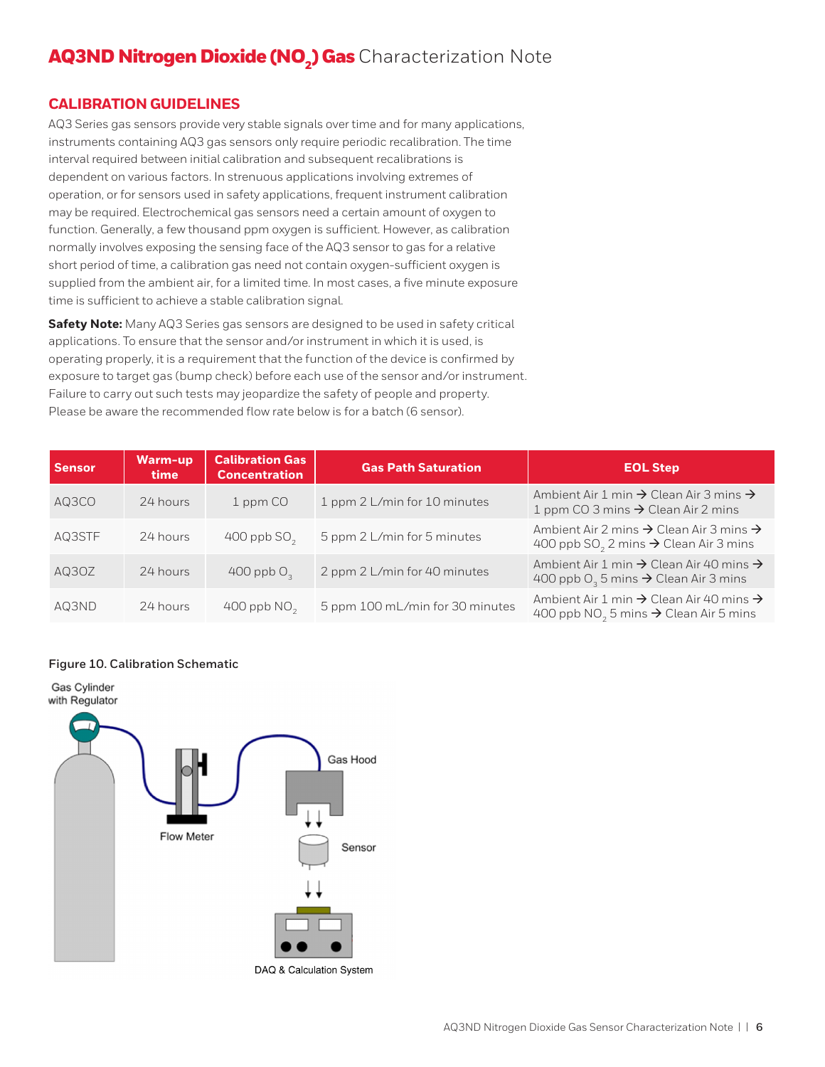#### **CALIBRATION GUIDELINES**

AQ3 Series gas sensors provide very stable signals over time and for many applications, instruments containing AQ3 gas sensors only require periodic recalibration. The time interval required between initial calibration and subsequent recalibrations is dependent on various factors. In strenuous applications involving extremes of operation, or for sensors used in safety applications, frequent instrument calibration may be required. Electrochemical gas sensors need a certain amount of oxygen to function. Generally, a few thousand ppm oxygen is sufficient. However, as calibration normally involves exposing the sensing face of the AQ3 sensor to gas for a relative short period of time, a calibration gas need not contain oxygen-sufficient oxygen is supplied from the ambient air, for a limited time. In most cases, a five minute exposure time is sufficient to achieve a stable calibration signal.

**Safety Note:** Many AQ3 Series gas sensors are designed to be used in safety critical applications. To ensure that the sensor and/or instrument in which it is used, is operating properly, it is a requirement that the function of the device is confirmed by exposure to target gas (bump check) before each use of the sensor and/or instrument. Failure to carry out such tests may jeopardize the safety of people and property. Please be aware the recommended flow rate below is for a batch (6 sensor).

| <b>Sensor</b> | Warm-up<br>time | <b>Calibration Gas</b><br><b>Concentration</b> | <b>Gas Path Saturation</b>      | <b>EOL Step</b>                                                                                                                  |
|---------------|-----------------|------------------------------------------------|---------------------------------|----------------------------------------------------------------------------------------------------------------------------------|
| AQ3CO         | 24 hours        | 1 ppm CO                                       | 1 ppm 2 L/min for 10 minutes    | Ambient Air 1 min $\rightarrow$ Clean Air 3 mins $\rightarrow$<br>1 ppm CO 3 mins $\rightarrow$ Clean Air 2 mins                 |
| AQ3STF        | 24 hours        | 400 ppb $SO2$                                  | 5 ppm 2 L/min for 5 minutes     | Ambient Air 2 mins $\rightarrow$ Clean Air 3 mins $\rightarrow$<br>400 ppb SO <sub>2</sub> 2 mins $\rightarrow$ Clean Air 3 mins |
| AQ30Z         | 24 hours        | 400 ppb $O3$                                   | 2 ppm 2 L/min for 40 minutes    | Ambient Air 1 min $\rightarrow$ Clean Air 40 mins $\rightarrow$<br>400 ppb $O_3$ 5 mins $\rightarrow$ Clean Air 3 mins           |
| AQ3ND         | 24 hours        | 400 ppb $NO2$                                  | 5 ppm 100 mL/min for 30 minutes | Ambient Air 1 min $\rightarrow$ Clean Air 40 mins $\rightarrow$<br>400 ppb $NO2$ 5 mins $\rightarrow$ Clean Air 5 mins           |

#### **Figure 10. Calibration Schematic**

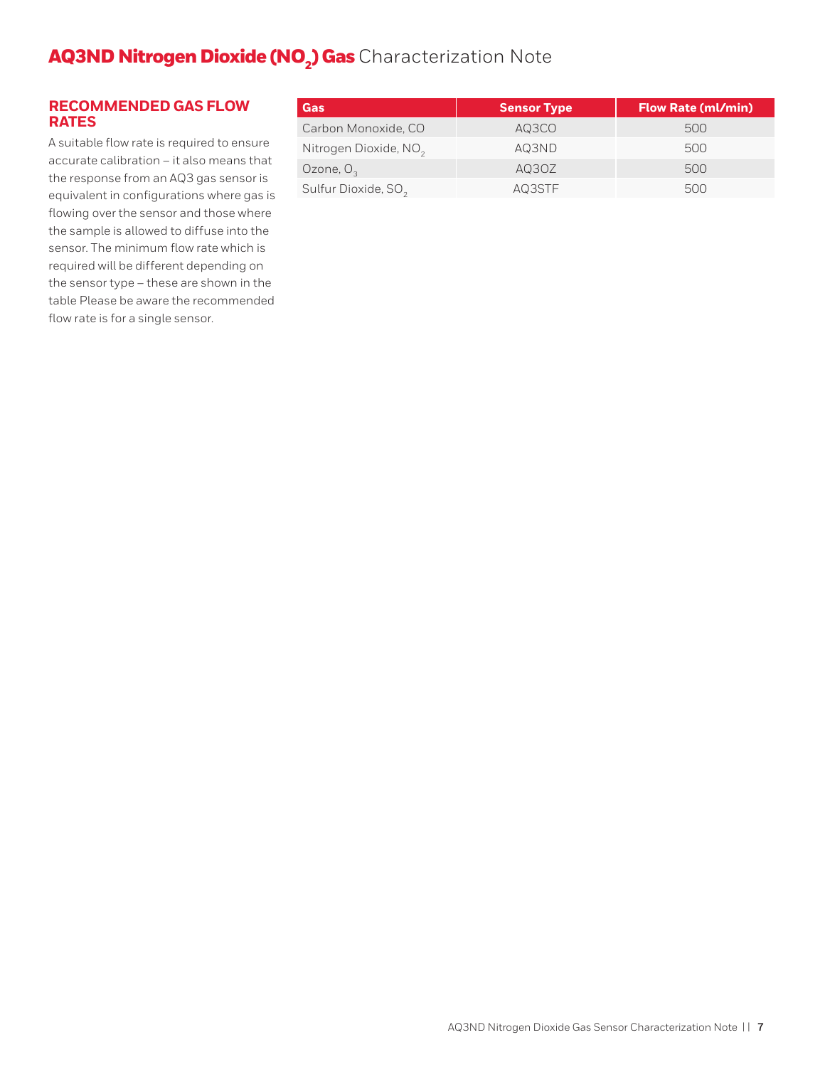#### **RECOMMENDED GAS FLOW RATES**

A suitable flow rate is required to ensure accurate calibration – it also means that the response from an AQ3 gas sensor is equivalent in configurations where gas is flowing over the sensor and those where the sample is allowed to diffuse into the sensor. The minimum flow rate which is required will be different depending on the sensor type – these are shown in the table Please be aware the recommended flow rate is for a single sensor.

| Gas                               | <b>Sensor Type</b> | <b>Flow Rate (ml/min)</b> |
|-----------------------------------|--------------------|---------------------------|
| Carbon Monoxide, CO               | AQ3CO              | 500                       |
| Nitrogen Dioxide, NO <sub>2</sub> | AQ3ND              | 500                       |
| Ozone, $O2$                       | AQ3OZ              | 500                       |
| Sulfur Dioxide, SO <sub>2</sub>   | AQ3STF             | 500                       |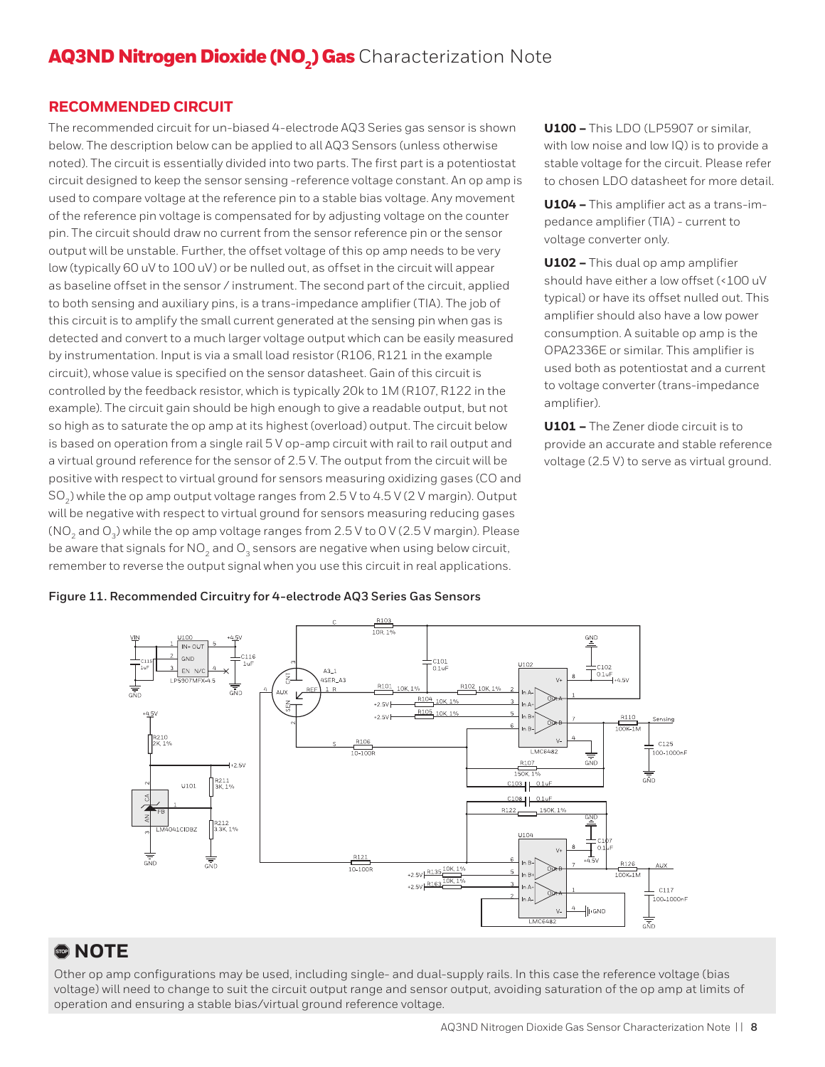#### **RECOMMENDED CIRCUIT**

The recommended circuit for un-biased 4-electrode AQ3 Series gas sensor is shown below. The description below can be applied to all AQ3 Sensors (unless otherwise noted). The circuit is essentially divided into two parts. The first part is a potentiostat circuit designed to keep the sensor sensing -reference voltage constant. An op amp is used to compare voltage at the reference pin to a stable bias voltage. Any movement of the reference pin voltage is compensated for by adjusting voltage on the counter pin. The circuit should draw no current from the sensor reference pin or the sensor output will be unstable. Further, the offset voltage of this op amp needs to be very low (typically 60 uV to 100 uV) or be nulled out, as offset in the circuit will appear as baseline offset in the sensor / instrument. The second part of the circuit, applied to both sensing and auxiliary pins, is a trans-impedance amplifier (TIA). The job of this circuit is to amplify the small current generated at the sensing pin when gas is detected and convert to a much larger voltage output which can be easily measured by instrumentation. Input is via a small load resistor (R106, R121 in the example circuit), whose value is specified on the sensor datasheet. Gain of this circuit is controlled by the feedback resistor, which is typically 20k to 1M (R107, R122 in the example). The circuit gain should be high enough to give a readable output, but not so high as to saturate the op amp at its highest (overload) output. The circuit below is based on operation from a single rail 5 V op-amp circuit with rail to rail output and a virtual ground reference for the sensor of 2.5 V. The output from the circuit will be positive with respect to virtual ground for sensors measuring oxidizing gases (CO and SO<sub>2</sub>) while the op amp output voltage ranges from 2.5 V to 4.5 V (2 V margin). Output will be negative with respect to virtual ground for sensors measuring reducing gases (NO<sub>2</sub> and O<sub>3</sub>) while the op amp voltage ranges from 2.5 V to 0 V (2.5 V margin). Please be aware that signals for  $NO<sub>2</sub>$  and  $O<sub>3</sub>$  sensors are negative when using below circuit, remember to reverse the output signal when you use this circuit in real applications.

**U100 –** This LDO (LP5907 or similar, with low noise and low IQ) is to provide a stable voltage for the circuit. Please refer to chosen LDO datasheet for more detail.

**U104 –** This amplifier act as a trans-impedance amplifier (TIA) - current to voltage converter only.

**U102 –** This dual op amp amplifier should have either a low offset (<100 uV typical) or have its offset nulled out. This amplifier should also have a low power consumption. A suitable op amp is the OPA2336E or similar. This amplifier is used both as potentiostat and a current to voltage converter (trans-impedance amplifier).

**U101 –** The Zener diode circuit is to provide an accurate and stable reference voltage (2.5 V) to serve as virtual ground.

#### **Figure 11. Recommended Circuitry for 4-electrode AQ3 Series Gas Sensors**



## , **NOTE**

Other op amp configurations may be used, including single- and dual-supply rails. In this case the reference voltage (bias voltage) will need to change to suit the circuit output range and sensor output, avoiding saturation of the op amp at limits of operation and ensuring a stable bias/virtual ground reference voltage.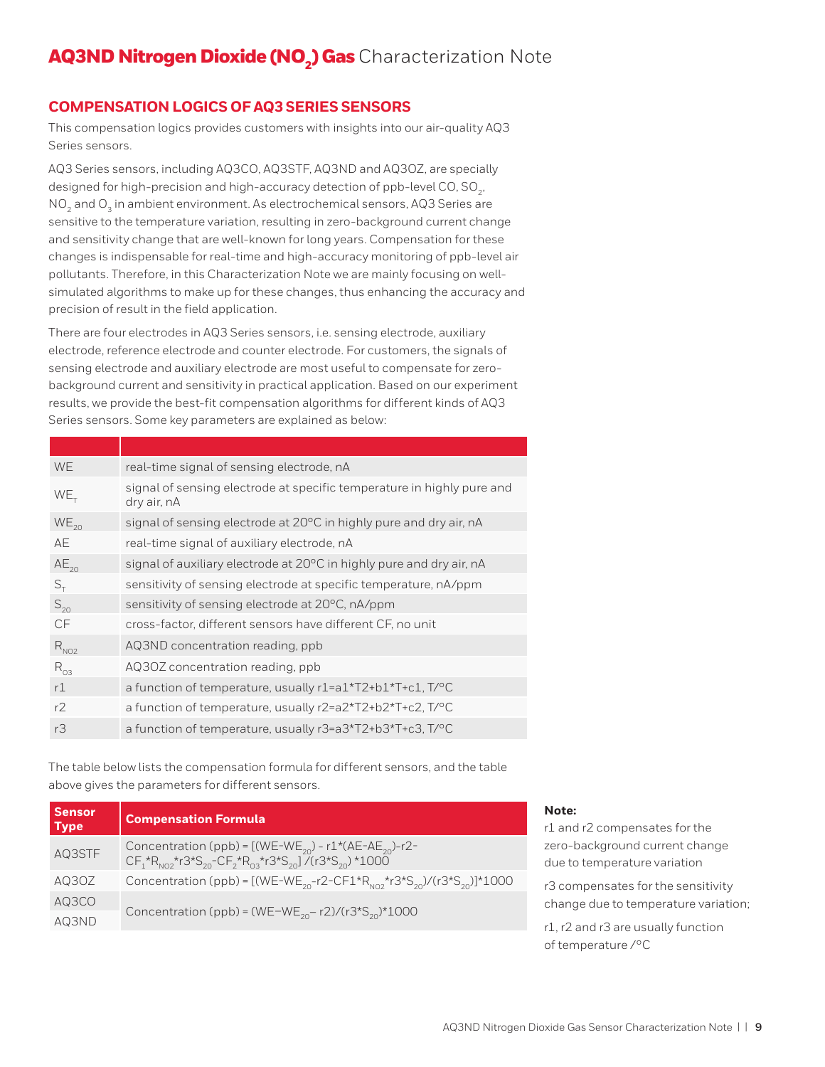#### **COMPENSATION LOGICS OF AQ3 SERIES SENSORS**

This compensation logics provides customers with insights into our air-quality AQ3 Series sensors.

AQ3 Series sensors, including AQ3CO, AQ3STF, AQ3ND and AQ3OZ, are specially designed for high-precision and high-accuracy detection of ppb-level CO,  $SO<sub>2</sub>$ , NO<sub>2</sub> and O<sub>2</sub> in ambient environment. As electrochemical sensors, AQ3 Series are sensitive to the temperature variation, resulting in zero-background current change and sensitivity change that are well-known for long years. Compensation for these changes is indispensable for real-time and high-accuracy monitoring of ppb-level air pollutants. Therefore, in this Characterization Note we are mainly focusing on wellsimulated algorithms to make up for these changes, thus enhancing the accuracy and precision of result in the field application.

There are four electrodes in AQ3 Series sensors, i.e. sensing electrode, auxiliary electrode, reference electrode and counter electrode. For customers, the signals of sensing electrode and auxiliary electrode are most useful to compensate for zerobackground current and sensitivity in practical application. Based on our experiment results, we provide the best-fit compensation algorithms for different kinds of AQ3 Series sensors. Some key parameters are explained as below:

| <b>WE</b>  | real-time signal of sensing electrode, nA                                             |
|------------|---------------------------------------------------------------------------------------|
| $WE_{T}$   | signal of sensing electrode at specific temperature in highly pure and<br>dry air, nA |
| $WE_{20}$  | signal of sensing electrode at 20°C in highly pure and dry air, nA                    |
| AE         | real-time signal of auxiliary electrode, nA                                           |
| $AE_{20}$  | signal of auxiliary electrode at 20°C in highly pure and dry air, nA                  |
| $S_{\tau}$ | sensitivity of sensing electrode at specific temperature, nA/ppm                      |
| $S_{20}$   | sensitivity of sensing electrode at 20°C, nA/ppm                                      |
| CF         | cross-factor, different sensors have different CF, no unit                            |
| $R_{NO2}$  | AQ3ND concentration reading, ppb                                                      |
| $R_{03}$   | AQ30Z concentration reading, ppb                                                      |
| r1         | a function of temperature, usually r1=a1*T2+b1*T+c1, T/ <sup>o</sup> C                |
| r2         | a function of temperature, usually r2=a2*T2+b2*T+c2, T/°C                             |
| rЗ         | a function of temperature, usually r3=a3*T2+b3*T+c3, T/°C                             |
|            |                                                                                       |

The table below lists the compensation formula for different sensors, and the table above gives the parameters for different sensors.

| <b>Sensor</b><br><b>Type</b> | <b>Compensation Formula</b>                                                                                                                                                                 |
|------------------------------|---------------------------------------------------------------------------------------------------------------------------------------------------------------------------------------------|
| AQ3STF                       | Concentration (ppb) = $[(WE-WE_{20}) - r1*(AE-AE_{20})-r2-$<br>$CF_1^{\star}R_{N02}^{\star}r3^{\star}S_{20}^{-}CF_2^{\star}R_{03}^{\star}r3^{\star}S_{20}^{-}]$ (r3*S <sub>20</sub> ) *1000 |
| AQ3OZ                        | Concentration (ppb) = $[(WE-WE_{20}-r2-CF1*R_{N02}*r3*S_{20})/(r3*S_{20})*1000$                                                                                                             |
| AQ3CO                        |                                                                                                                                                                                             |
| AQ3ND                        | Concentration (ppb) = (WE-WE <sub>20</sub> -r2)/(r3*S <sub>20</sub> )*1000                                                                                                                  |

#### **Note:**

r1 and r2 compensates for the zero-background current change due to temperature variation

r3 compensates for the sensitivity change due to temperature variation;

r1, r2 and r3 are usually function of temperature /°C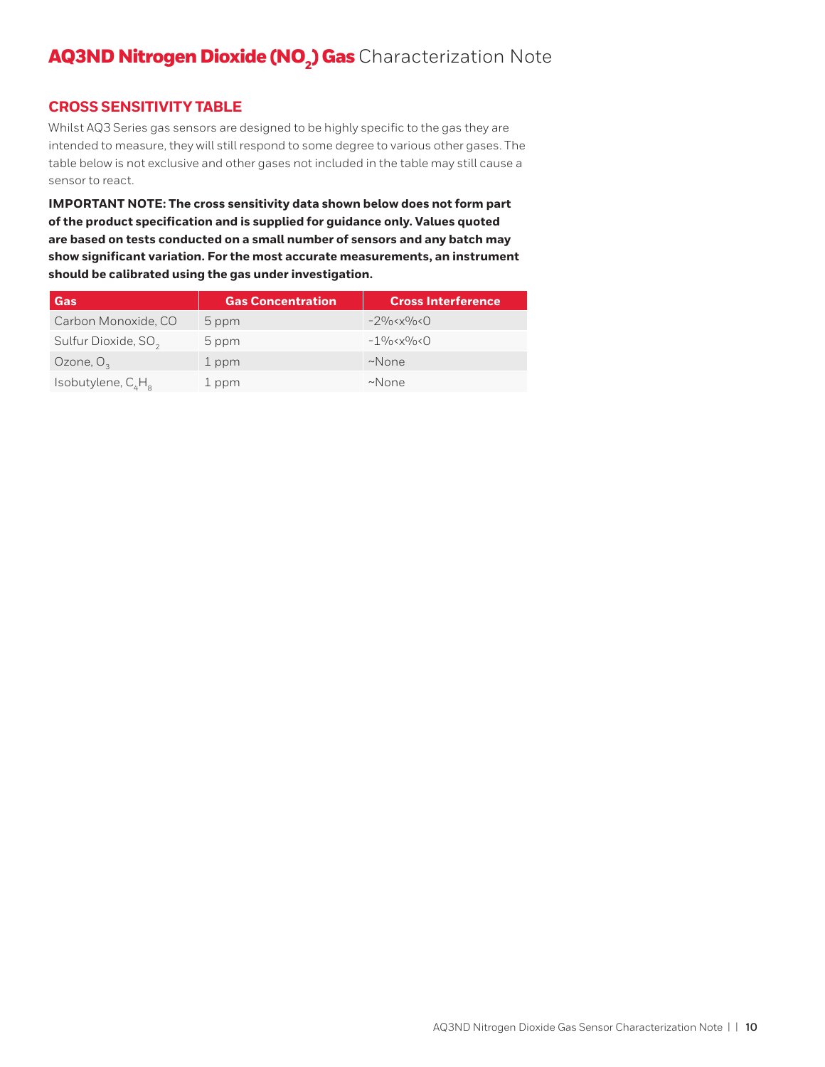#### **CROSS SENSITIVITY TABLE**

Whilst AQ3 Series gas sensors are designed to be highly specific to the gas they are intended to measure, they will still respond to some degree to various other gases. The table below is not exclusive and other gases not included in the table may still cause a sensor to react.

**IMPORTANT NOTE: The cross sensitivity data shown below does not form part of the product specification and is supplied for guidance only. Values quoted are based on tests conducted on a small number of sensors and any batch may show significant variation. For the most accurate measurements, an instrument should be calibrated using the gas under investigation.**

| Gas                             | <b>Gas Concentration</b> | <b>Cross Interference</b> |
|---------------------------------|--------------------------|---------------------------|
| Carbon Monoxide, CO             | 5 ppm                    | $-2\%$                    |
| Sulfur Dioxide, SO <sub>2</sub> | 5 ppm                    | $-1\%$                    |
| Ozone, $O3$                     | 1 ppm                    | $~\sim$ None              |
| Isobutylene, $C_{\mu}H_{\mu}$   | 1 ppm                    | $~\sim$ None              |